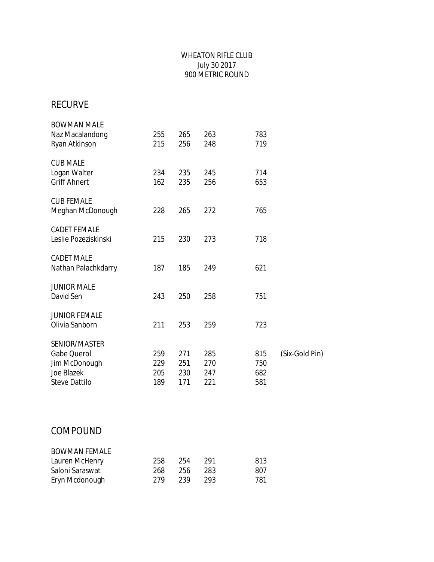#### WHEATON RIFLE CLUB July 30 2017 900 METRIC ROUND

## RECURVE

| <b>BOWMAN MALE</b><br>Naz Macalandong<br>Ryan Atkinson | 255<br>215 | 265<br>256 | 263<br>248 | 783<br>719 |                |
|--------------------------------------------------------|------------|------------|------------|------------|----------------|
| <b>CUB MALE</b><br>Logan Walter                        | 234        | 235        | 245        | 714        |                |
| <b>Griff Ahnert</b>                                    | 162        | 235        | 256        | 653        |                |
| <b>CUB FEMALE</b><br>Meghan McDonough                  | 228        | 265        | 272        | 765        |                |
| <b>CADET FEMALE</b><br>Leslie Pozeziskinski            | 215        | 230        | 273        | 718        |                |
| <b>CADET MALE</b><br>Nathan Palachkdarry               | 187        | 185        | 249        | 621        |                |
| <b>JUNIOR MALE</b><br>David Sen                        | 243        | 250        | 258        | 751        |                |
| <b>JUNIOR FEMALE</b><br>Olivia Sanborn                 | 211        | 253        | 259        | 723        |                |
| SENIOR/MASTER                                          |            |            |            |            |                |
| Gabe Querol                                            | 259        | 271        | 285        | 815        | (Six-Gold Pin) |
| Jim McDonough<br>Joe Blazek                            | 229<br>205 | 251<br>230 | 270<br>247 | 750<br>682 |                |
| <b>Steve Dattilo</b>                                   | 189        | 171        | 221        | 581        |                |
|                                                        |            |            |            |            |                |

## COMPOUND

| <b>BOWMAN FEMALE</b> |     |       |      |     |
|----------------------|-----|-------|------|-----|
| Lauren McHenry       | 258 | - 254 | -291 | 813 |
| Saloni Saraswat      | 268 | 256   | -283 | 807 |
| Eryn Mcdonough       | 279 | 239   | -293 | 781 |